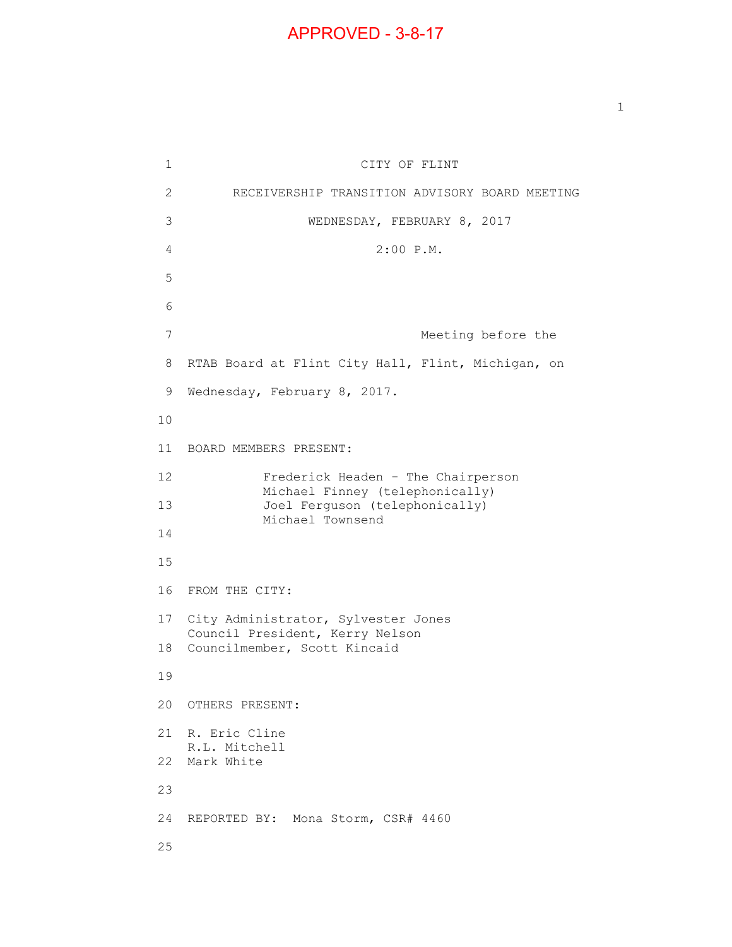## APPROVED - 3-8-17

 $\mathbf{1}$  $\overline{2}$ 3  $\overline{7}$ 8 9 Wednesday, February 8, 2017. CITY OF FLINT 2 RECEIVERSHIP TRANSITION ADVISORY BOARD MEETING 3 WEDNESDAY, FEBRUARY 8, 2017 4 2:00 P.M. 5 6 Meeting before the RTAB Board at Flint City Hall, Flint, Michigan, on 10 11 BOARD MEMBERS PRESENT: 12 13 14 Frederick Headen - The Chairperson Michael Finney (telephonically) Joel Ferguson (telephonically) Michael Townsend 15 16 FROM THE CITY: 17 City Administrator, Sylvester Jones 18 Councilmember, Scott Kincaid Council President, Kerry Nelson 19 20 OTHERS PRESENT: 21 R. Eric Cline 22 Mark White R.L. Mitchell 23 24 REPORTED BY: Mona Storm, CSR# 4460 25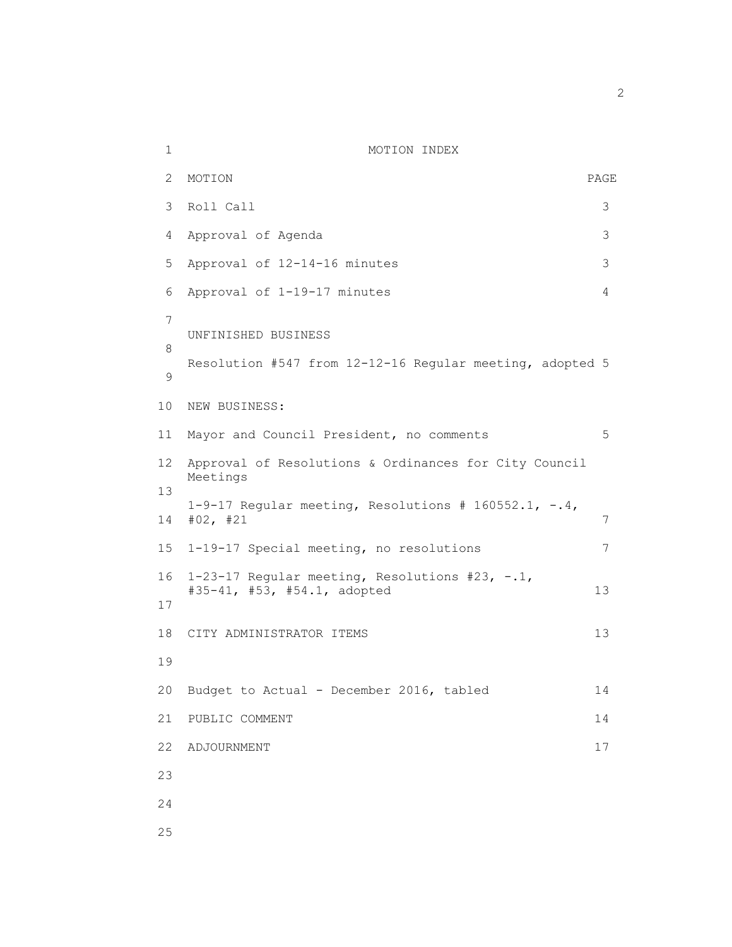| 1           | MOTION INDEX                                                                     |                |
|-------------|----------------------------------------------------------------------------------|----------------|
| 2           | MOTION                                                                           | PAGE           |
| 3           | Roll Call                                                                        | 3              |
| 4           | Approval of Agenda                                                               | 3              |
| 5           | Approval of 12-14-16 minutes                                                     | 3              |
| 6           | Approval of 1-19-17 minutes                                                      | $\overline{4}$ |
| 7<br>8<br>9 | UNFINISHED BUSINESS<br>Resolution #547 from 12-12-16 Regular meeting, adopted 5  |                |
| 10          | NEW BUSINESS:                                                                    |                |
| 11          | Mayor and Council President, no comments                                         | 5              |
| 12          | Approval of Resolutions & Ordinances for City Council<br>Meetings                |                |
| 13<br>14    | 1-9-17 Regular meeting, Resolutions # 160552.1, $-.4$ ,<br>#02, #21              | 7              |
| 15          | 1-19-17 Special meeting, no resolutions                                          | 7              |
| 16<br>17    | 1-23-17 Regular meeting, Resolutions #23, $-.1$ ,<br>#35-41, #53, #54.1, adopted | 13             |
| 18          | CITY ADMINISTRATOR ITEMS                                                         | 13             |
| 19          |                                                                                  |                |
| 20          | Budget to Actual - December 2016, tabled                                         | 14             |
| 21          | PUBLIC COMMENT                                                                   | 14             |
| 22          | ADJOURNMENT                                                                      | 17             |
| 23          |                                                                                  |                |
| 24          |                                                                                  |                |
| 25          |                                                                                  |                |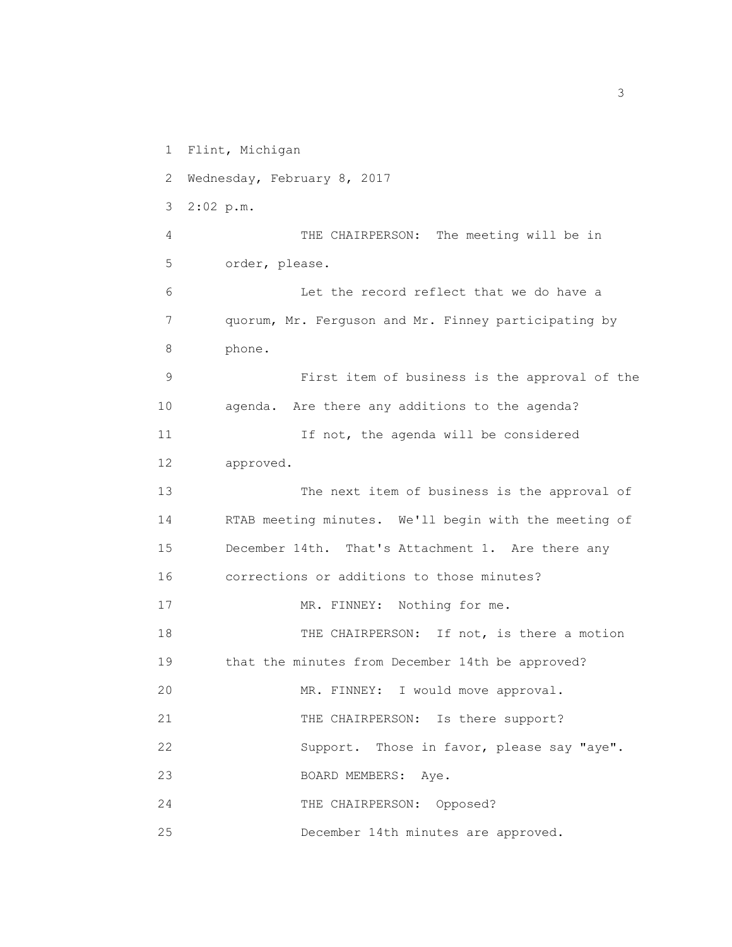1 Flint, Michigan

2 Wednesday, February 8, 2017

3 2:02 p.m.

 4 THE CHAIRPERSON: The meeting will be in 5 order, please.

 6 Let the record reflect that we do have a 7 quorum, Mr. Ferguson and Mr. Finney participating by 8 phone.

 9 First item of business is the approval of the 10 agenda. Are there any additions to the agenda? 11 11 If not, the agenda will be considered 12 approved.

 13 The next item of business is the approval of 14 RTAB meeting minutes. We'll begin with the meeting of 15 December 14th. That's Attachment 1. Are there any 16 corrections or additions to those minutes? 17 MR. FINNEY: Nothing for me. 18 THE CHAIRPERSON: If not, is there a motion

19 that the minutes from December 14th be approved?

20 MR. FINNEY: I would move approval.

21 THE CHAIRPERSON: Is there support?

22 Support. Those in favor, please say "aye".

23 BOARD MEMBERS: Aye.

24 THE CHAIRPERSON: Opposed?

25 December 14th minutes are approved.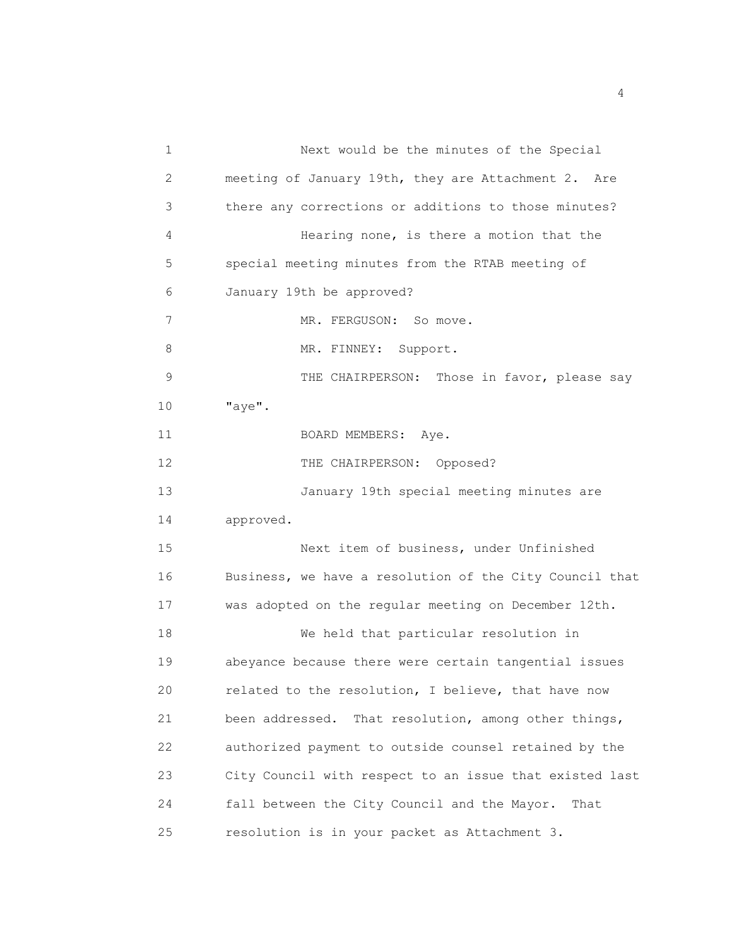1 Next would be the minutes of the Special 2 meeting of January 19th, they are Attachment 2. Are 3 there any corrections or additions to those minutes? 4 Hearing none, is there a motion that the 5 special meeting minutes from the RTAB meeting of 6 January 19th be approved? 7 MR. FERGUSON: So move. 8 MR. FINNEY: Support. 9 THE CHAIRPERSON: Those in favor, please say 10 "aye". 11 BOARD MEMBERS: Aye. 12 THE CHAIRPERSON: Opposed? 13 January 19th special meeting minutes are 14 approved. 15 Next item of business, under Unfinished 16 Business, we have a resolution of the City Council that 17 was adopted on the regular meeting on December 12th. 18 We held that particular resolution in 19 abeyance because there were certain tangential issues 20 related to the resolution, I believe, that have now 21 been addressed. That resolution, among other things, 22 authorized payment to outside counsel retained by the 23 City Council with respect to an issue that existed last 24 fall between the City Council and the Mayor. That 25 resolution is in your packet as Attachment 3.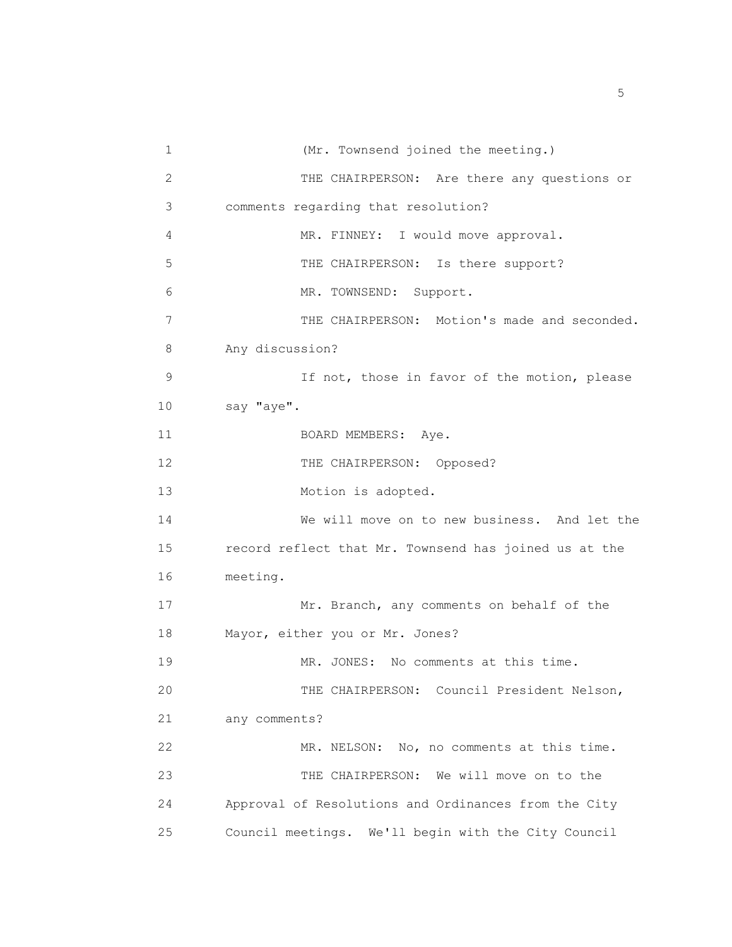1 (Mr. Townsend joined the meeting.) 2 THE CHAIRPERSON: Are there any questions or 3 comments regarding that resolution? 4 MR. FINNEY: I would move approval. 5 THE CHAIRPERSON: Is there support? 6 MR. TOWNSEND: Support. 7 THE CHAIRPERSON: Motion's made and seconded. 8 Any discussion? 9 If not, those in favor of the motion, please 10 say "aye". 11 BOARD MEMBERS: Aye. 12 THE CHAIRPERSON: Opposed? 13 Motion is adopted. 14 We will move on to new business. And let the 15 record reflect that Mr. Townsend has joined us at the 16 meeting. 17 Mr. Branch, any comments on behalf of the 18 Mayor, either you or Mr. Jones? 19 MR. JONES: No comments at this time. 20 THE CHAIRPERSON: Council President Nelson, 21 any comments? 22 MR. NELSON: No, no comments at this time. 23 THE CHAIRPERSON: We will move on to the 24 Approval of Resolutions and Ordinances from the City 25 Council meetings. We'll begin with the City Council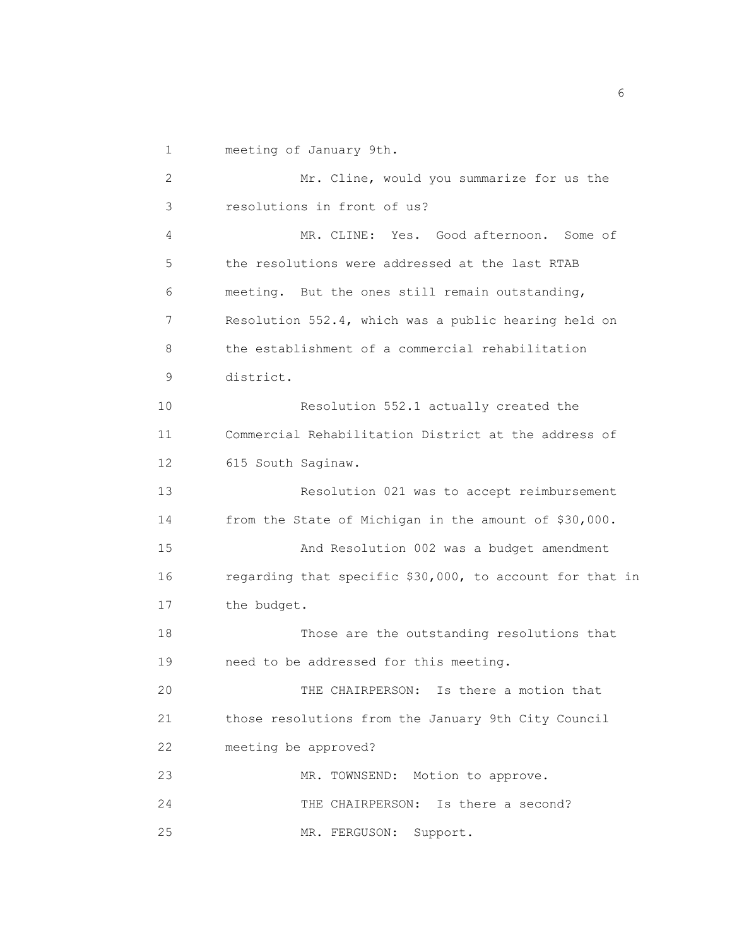1 meeting of January 9th.

 2 Mr. Cline, would you summarize for us the 3 resolutions in front of us? 4 MR. CLINE: Yes. Good afternoon. Some of 5 the resolutions were addressed at the last RTAB 6 meeting. But the ones still remain outstanding, 7 Resolution 552.4, which was a public hearing held on 8 the establishment of a commercial rehabilitation 9 district. 10 Resolution 552.1 actually created the 11 Commercial Rehabilitation District at the address of 12 615 South Saginaw. 13 Resolution 021 was to accept reimbursement 14 from the State of Michigan in the amount of \$30,000. 15 And Resolution 002 was a budget amendment 16 regarding that specific \$30,000, to account for that in 17 the budget. 18 Those are the outstanding resolutions that 19 need to be addressed for this meeting. 20 THE CHAIRPERSON: Is there a motion that 21 those resolutions from the January 9th City Council 22 meeting be approved? 23 MR. TOWNSEND: Motion to approve. 24 THE CHAIRPERSON: Is there a second? 25 MR. FERGUSON: Support.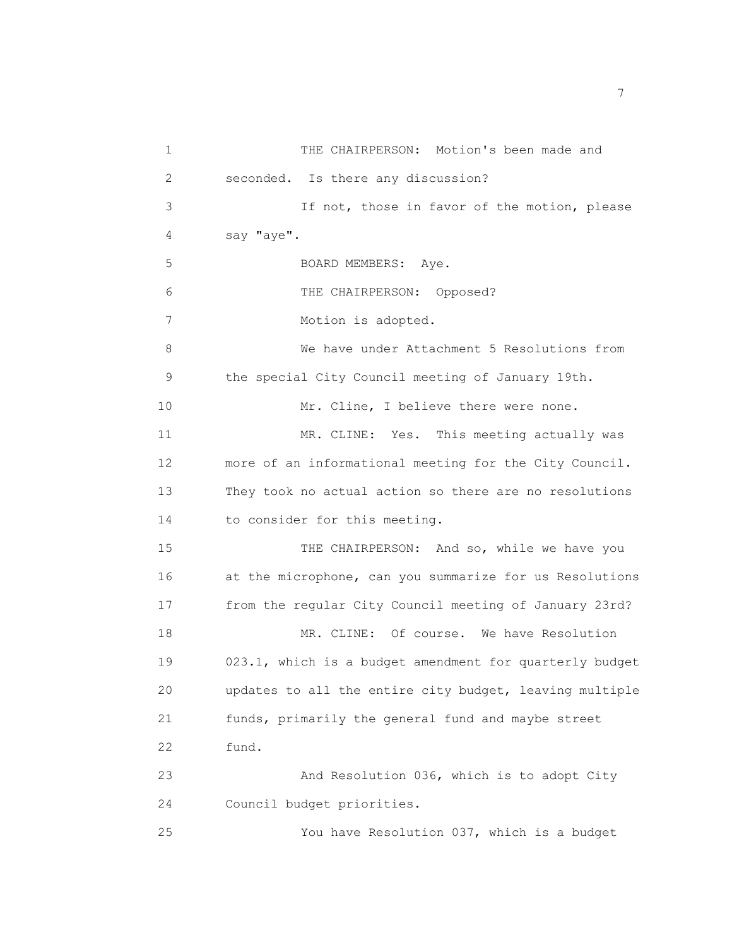1 THE CHAIRPERSON: Motion's been made and 2 seconded. Is there any discussion? 3 If not, those in favor of the motion, please 4 say "aye". 5 BOARD MEMBERS: Aye. 6 THE CHAIRPERSON: Opposed? 7 Motion is adopted. 8 We have under Attachment 5 Resolutions from 9 the special City Council meeting of January 19th. 10 Mr. Cline, I believe there were none. 11 MR. CLINE: Yes. This meeting actually was 12 more of an informational meeting for the City Council. 13 They took no actual action so there are no resolutions 14 to consider for this meeting. 15 THE CHAIRPERSON: And so, while we have you 16 at the microphone, can you summarize for us Resolutions 17 from the regular City Council meeting of January 23rd? 18 MR. CLINE: Of course. We have Resolution 19 023.1, which is a budget amendment for quarterly budget 20 updates to all the entire city budget, leaving multiple 21 funds, primarily the general fund and maybe street 22 fund. 23 And Resolution 036, which is to adopt City 24 Council budget priorities. 25 You have Resolution 037, which is a budget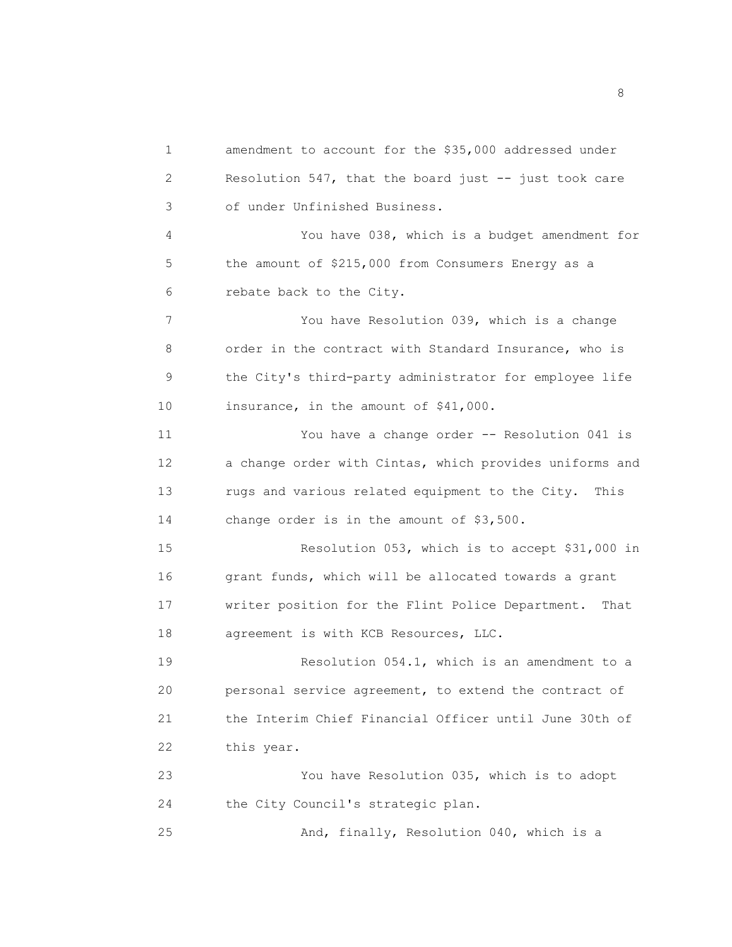1 amendment to account for the \$35,000 addressed under 2 Resolution 547, that the board just -- just took care 3 of under Unfinished Business. 4 You have 038, which is a budget amendment for 5 the amount of \$215,000 from Consumers Energy as a 6 rebate back to the City. 7 You have Resolution 039, which is a change 8 order in the contract with Standard Insurance, who is 9 the City's third-party administrator for employee life 10 insurance, in the amount of \$41,000. 11 You have a change order -- Resolution 041 is 12 a change order with Cintas, which provides uniforms and 13 rugs and various related equipment to the City. This 14 change order is in the amount of \$3,500. 15 Resolution 053, which is to accept \$31,000 in 16 grant funds, which will be allocated towards a grant 17 writer position for the Flint Police Department. That 18 agreement is with KCB Resources, LLC. 19 Resolution 054.1, which is an amendment to a 20 personal service agreement, to extend the contract of 21 the Interim Chief Financial Officer until June 30th of 22 this year. 23 You have Resolution 035, which is to adopt 24 the City Council's strategic plan. 25 And, finally, Resolution 040, which is a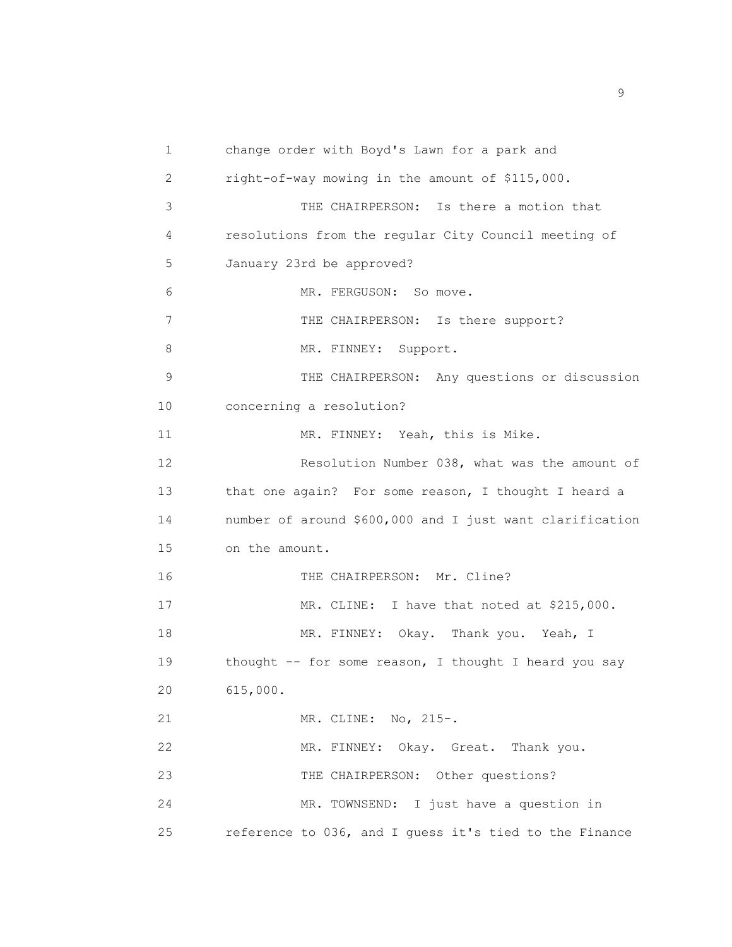1 change order with Boyd's Lawn for a park and 2 right-of-way mowing in the amount of \$115,000. 3 THE CHAIRPERSON: Is there a motion that 4 resolutions from the regular City Council meeting of 5 January 23rd be approved? 6 MR. FERGUSON: So move. 7 THE CHAIRPERSON: Is there support? 8 MR. FINNEY: Support. 9 THE CHAIRPERSON: Any questions or discussion 10 concerning a resolution? 11 MR. FINNEY: Yeah, this is Mike. 12 Resolution Number 038, what was the amount of 13 that one again? For some reason, I thought I heard a 14 number of around \$600,000 and I just want clarification 15 on the amount. 16 THE CHAIRPERSON: Mr. Cline? 17 MR. CLINE: I have that noted at \$215,000. 18 MR. FINNEY: Okay. Thank you. Yeah, I 19 thought -- for some reason, I thought I heard you say 20 615,000. 21 MR. CLINE: No, 215-. 22 MR. FINNEY: Okay. Great. Thank you. 23 THE CHAIRPERSON: Other questions? 24 MR. TOWNSEND: I just have a question in 25 reference to 036, and I guess it's tied to the Finance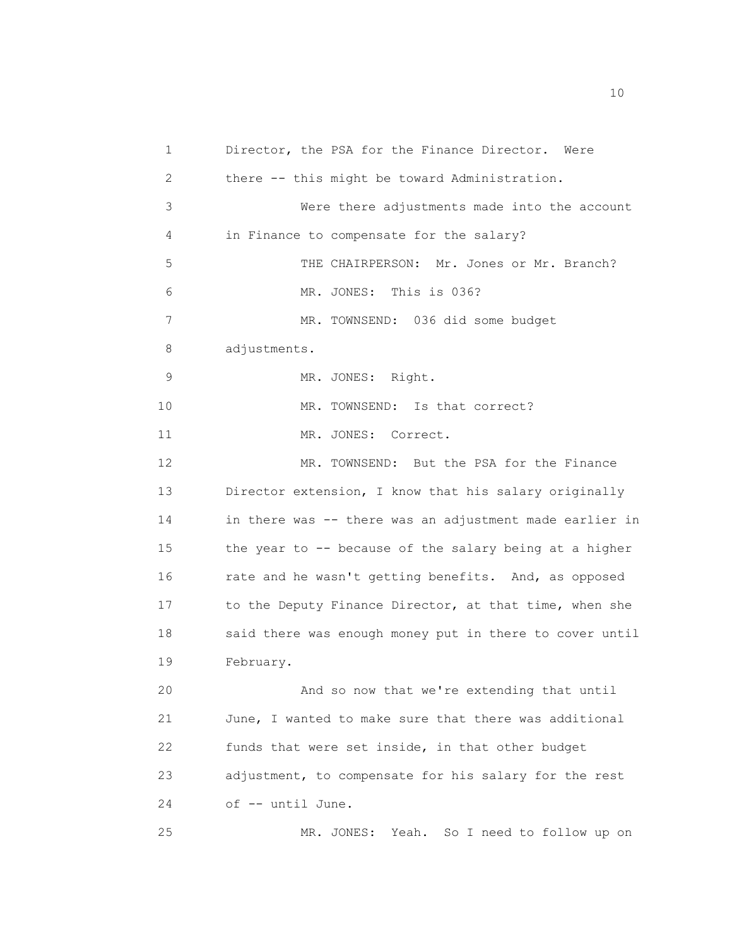1 Director, the PSA for the Finance Director. Were 2 there -- this might be toward Administration. 3 Were there adjustments made into the account 4 in Finance to compensate for the salary? 5 THE CHAIRPERSON: Mr. Jones or Mr. Branch? 6 MR. JONES: This is 036? 7 MR. TOWNSEND: 036 did some budget 8 adjustments. 9 MR. JONES: Right. 10 MR. TOWNSEND: Is that correct? 11 MR. JONES: Correct. 12 MR. TOWNSEND: But the PSA for the Finance 13 Director extension, I know that his salary originally 14 in there was -- there was an adjustment made earlier in 15 the year to -- because of the salary being at a higher 16 rate and he wasn't getting benefits. And, as opposed 17 to the Deputy Finance Director, at that time, when she 18 said there was enough money put in there to cover until 19 February. 20 And so now that we're extending that until 21 June, I wanted to make sure that there was additional 22 funds that were set inside, in that other budget 23 adjustment, to compensate for his salary for the rest 24 of -- until June. 25 MR. JONES: Yeah. So I need to follow up on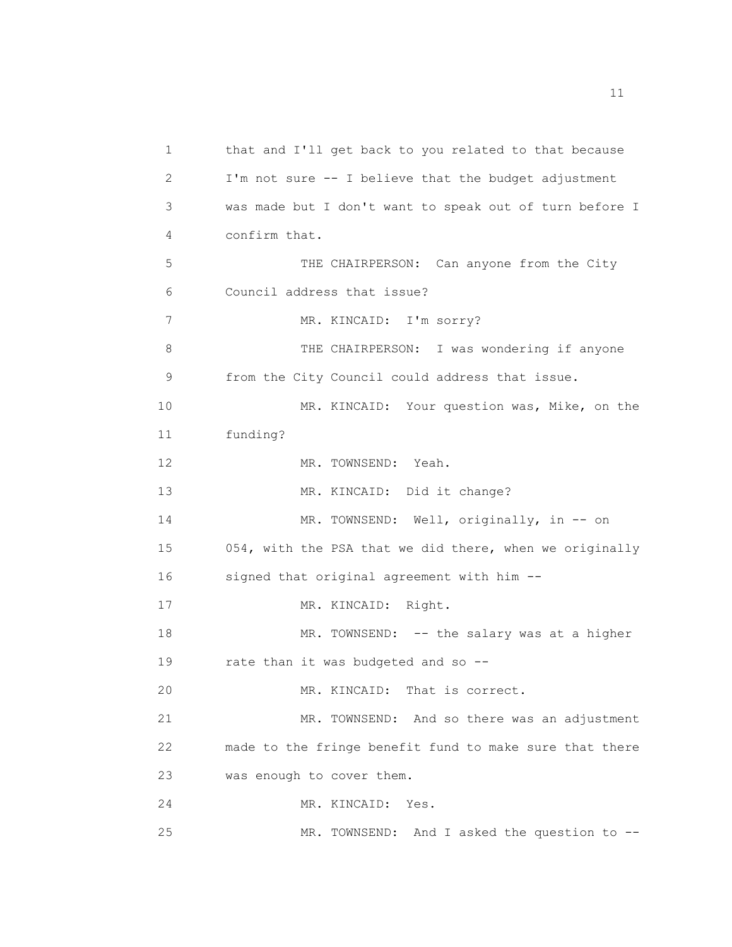1 that and I'll get back to you related to that because 2 I'm not sure -- I believe that the budget adjustment 3 was made but I don't want to speak out of turn before I 4 confirm that. 5 THE CHAIRPERSON: Can anyone from the City 6 Council address that issue? 7 MR. KINCAID: I'm sorry? 8 THE CHAIRPERSON: I was wondering if anyone 9 from the City Council could address that issue. 10 MR. KINCAID: Your question was, Mike, on the 11 funding? 12 MR. TOWNSEND: Yeah. 13 MR. KINCAID: Did it change? 14 MR. TOWNSEND: Well, originally, in -- on 15 054, with the PSA that we did there, when we originally 16 signed that original agreement with him -- 17 MR. KINCAID: Right. 18 MR. TOWNSEND: -- the salary was at a higher 19 rate than it was budgeted and so -- 20 MR. KINCAID: That is correct. 21 MR. TOWNSEND: And so there was an adjustment 22 made to the fringe benefit fund to make sure that there 23 was enough to cover them. 24 MR. KINCAID: Yes. 25 MR. TOWNSEND: And I asked the question to --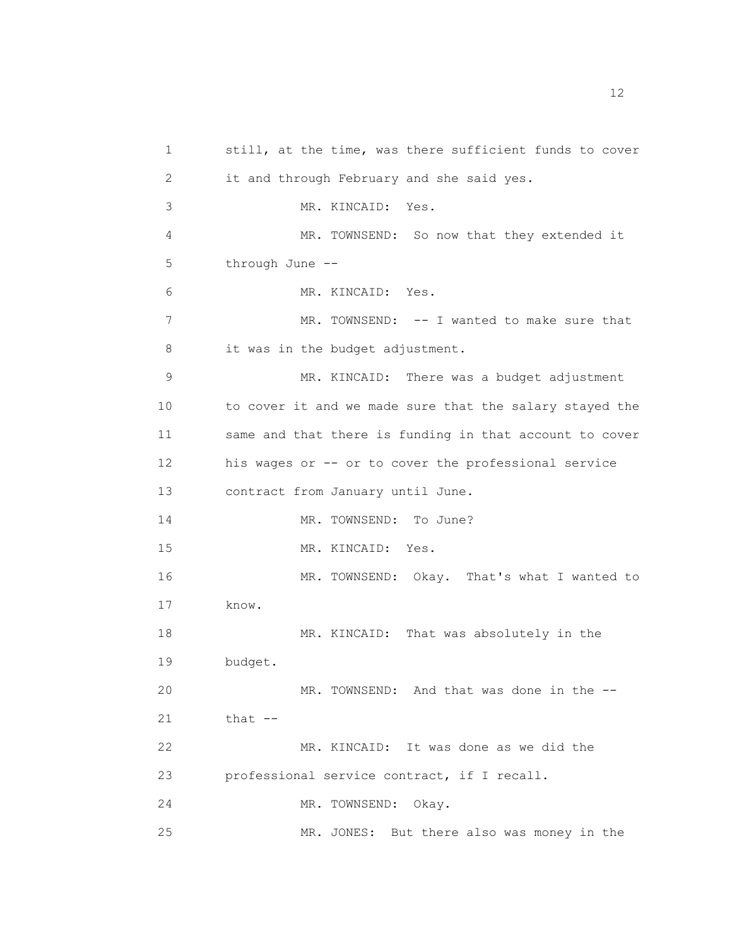1 still, at the time, was there sufficient funds to cover 2 it and through February and she said yes. 3 MR. KINCAID: Yes. 4 MR. TOWNSEND: So now that they extended it 5 through June -- 6 MR. KINCAID: Yes. 7 MR. TOWNSEND: -- I wanted to make sure that 8 it was in the budget adjustment. 9 MR. KINCAID: There was a budget adjustment 10 to cover it and we made sure that the salary stayed the 11 same and that there is funding in that account to cover 12 his wages or -- or to cover the professional service 13 contract from January until June. 14 MR. TOWNSEND: To June? 15 MR. KINCAID: Yes. 16 MR. TOWNSEND: Okay. That's what I wanted to 17 know. 18 MR. KINCAID: That was absolutely in the 19 budget. 20 MR. TOWNSEND: And that was done in the -- 21 that -- 22 MR. KINCAID: It was done as we did the 23 professional service contract, if I recall. 24 MR. TOWNSEND: Okay. 25 MR. JONES: But there also was money in the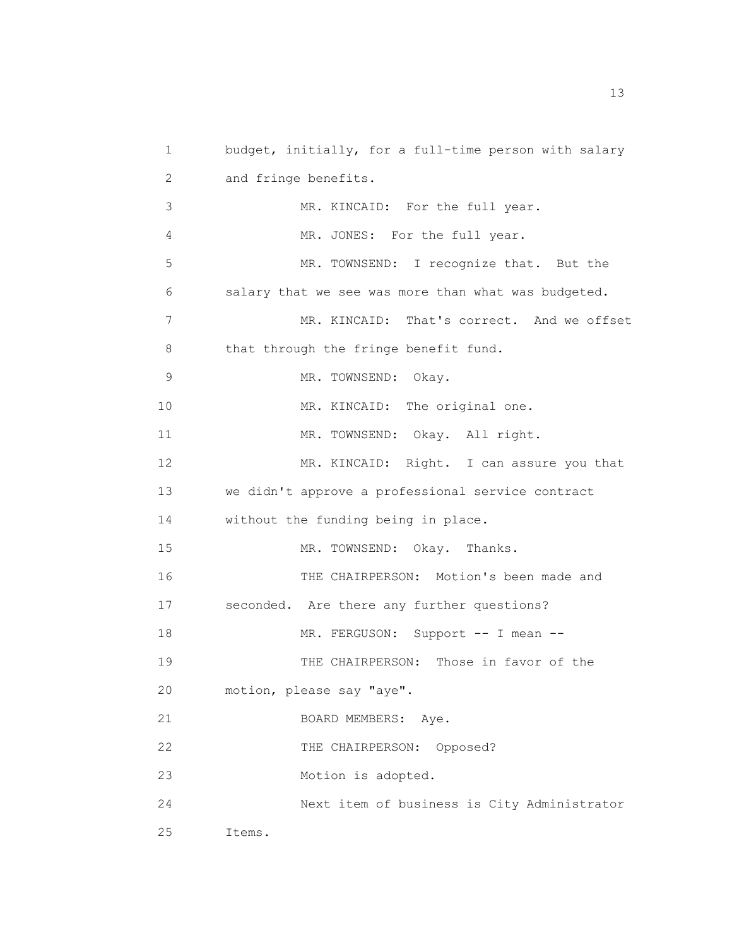1 budget, initially, for a full-time person with salary 2 and fringe benefits. 3 MR. KINCAID: For the full year. 4 MR. JONES: For the full year. 5 MR. TOWNSEND: I recognize that. But the 6 salary that we see was more than what was budgeted. 7 MR. KINCAID: That's correct. And we offset 8 that through the fringe benefit fund. 9 MR. TOWNSEND: Okay. 10 MR. KINCAID: The original one. 11 MR. TOWNSEND: Okay. All right. 12 MR. KINCAID: Right. I can assure you that 13 we didn't approve a professional service contract 14 without the funding being in place. 15 MR. TOWNSEND: Okay. Thanks. 16 THE CHAIRPERSON: Motion's been made and 17 seconded. Are there any further questions? 18 MR. FERGUSON: Support -- I mean -- 19 THE CHAIRPERSON: Those in favor of the 20 motion, please say "aye". 21 BOARD MEMBERS: Aye. 22 THE CHAIRPERSON: Opposed? 23 Motion is adopted. 24 Next item of business is City Administrator 25 Items.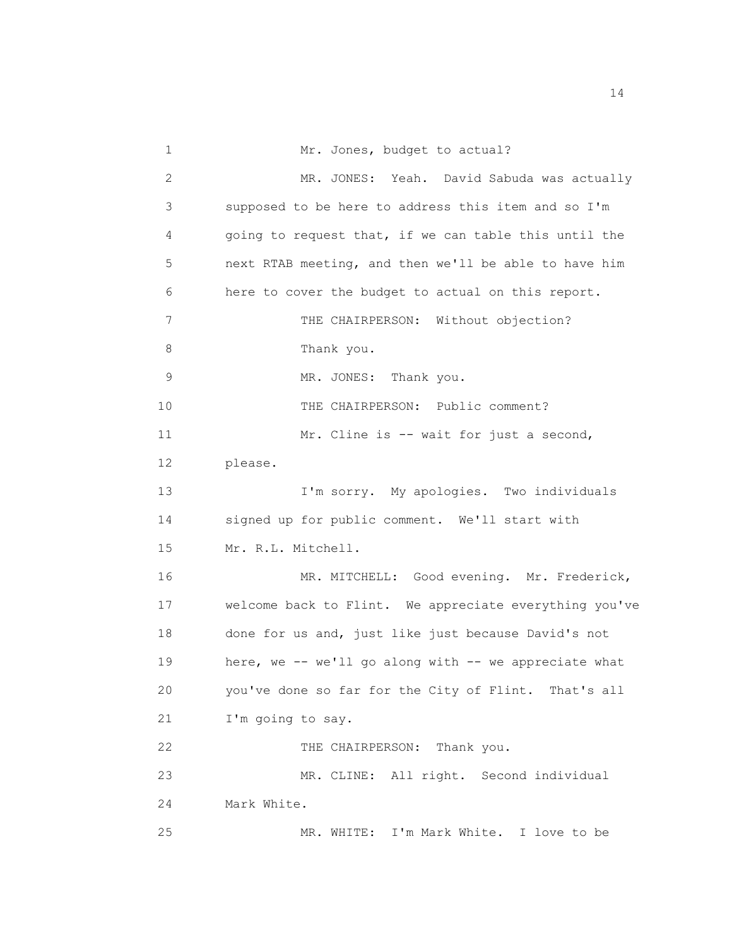1 Mr. Jones, budget to actual? 2 MR. JONES: Yeah. David Sabuda was actually 3 supposed to be here to address this item and so I'm 4 going to request that, if we can table this until the 5 next RTAB meeting, and then we'll be able to have him 6 here to cover the budget to actual on this report. 7 THE CHAIRPERSON: Without objection? 8 Thank you. 9 MR. JONES: Thank you. 10 THE CHAIRPERSON: Public comment? 11 Mr. Cline is -- wait for just a second, 12 please. 13 I'm sorry. My apologies. Two individuals 14 signed up for public comment. We'll start with 15 Mr. R.L. Mitchell. 16 MR. MITCHELL: Good evening. Mr. Frederick, 17 welcome back to Flint. We appreciate everything you've 18 done for us and, just like just because David's not 19 here, we -- we'll go along with -- we appreciate what 20 you've done so far for the City of Flint. That's all 21 I'm going to say. 22 THE CHAIRPERSON: Thank you. 23 MR. CLINE: All right. Second individual 24 Mark White. 25 MR. WHITE: I'm Mark White. I love to be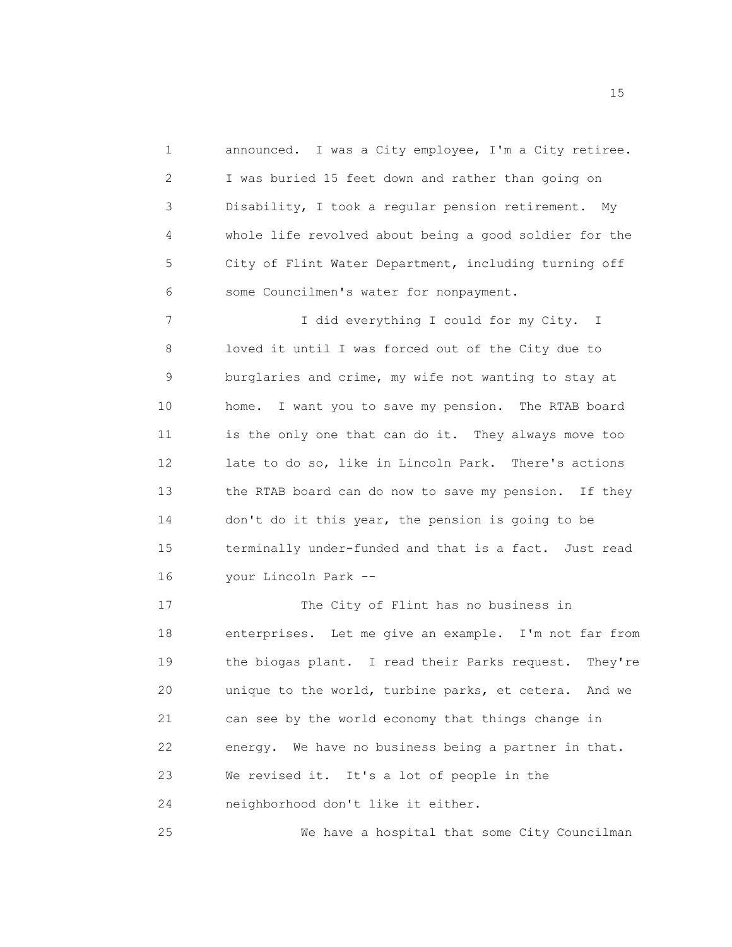1 announced. I was a City employee, I'm a City retiree. 2 I was buried 15 feet down and rather than going on 3 Disability, I took a regular pension retirement. My 4 whole life revolved about being a good soldier for the 5 City of Flint Water Department, including turning off 6 some Councilmen's water for nonpayment. 7 I did everything I could for my City. I 8 loved it until I was forced out of the City due to 9 burglaries and crime, my wife not wanting to stay at 10 home. I want you to save my pension. The RTAB board 11 is the only one that can do it. They always move too 12 late to do so, like in Lincoln Park. There's actions 13 the RTAB board can do now to save my pension. If they 14 don't do it this year, the pension is going to be 15 terminally under-funded and that is a fact. Just read 16 your Lincoln Park -- 17 The City of Flint has no business in 18 enterprises. Let me give an example. I'm not far from 19 the biogas plant. I read their Parks request. They're 20 unique to the world, turbine parks, et cetera. And we 21 can see by the world economy that things change in 22 energy. We have no business being a partner in that. 23 We revised it. It's a lot of people in the 24 neighborhood don't like it either.

25 We have a hospital that some City Councilman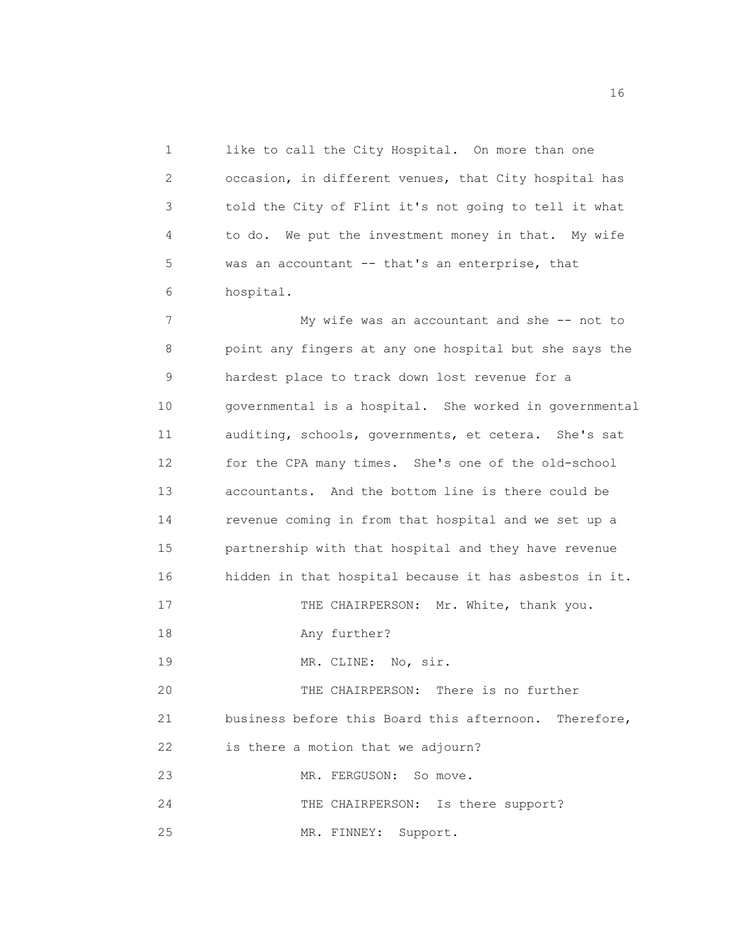1 like to call the City Hospital. On more than one 2 occasion, in different venues, that City hospital has 3 told the City of Flint it's not going to tell it what 4 to do. We put the investment money in that. My wife 5 was an accountant -- that's an enterprise, that 6 hospital.

 7 My wife was an accountant and she -- not to 8 point any fingers at any one hospital but she says the 9 hardest place to track down lost revenue for a 10 governmental is a hospital. She worked in governmental 11 auditing, schools, governments, et cetera. She's sat 12 for the CPA many times. She's one of the old-school 13 accountants. And the bottom line is there could be 14 revenue coming in from that hospital and we set up a 15 partnership with that hospital and they have revenue 16 hidden in that hospital because it has asbestos in it. 17 THE CHAIRPERSON: Mr. White, thank you. 18 Any further? 19 MR. CLINE: No, sir. 20 THE CHAIRPERSON: There is no further 21 business before this Board this afternoon. Therefore, 22 is there a motion that we adjourn? 23 MR. FERGUSON: So move. 24 THE CHAIRPERSON: Is there support? 25 MR. FINNEY: Support.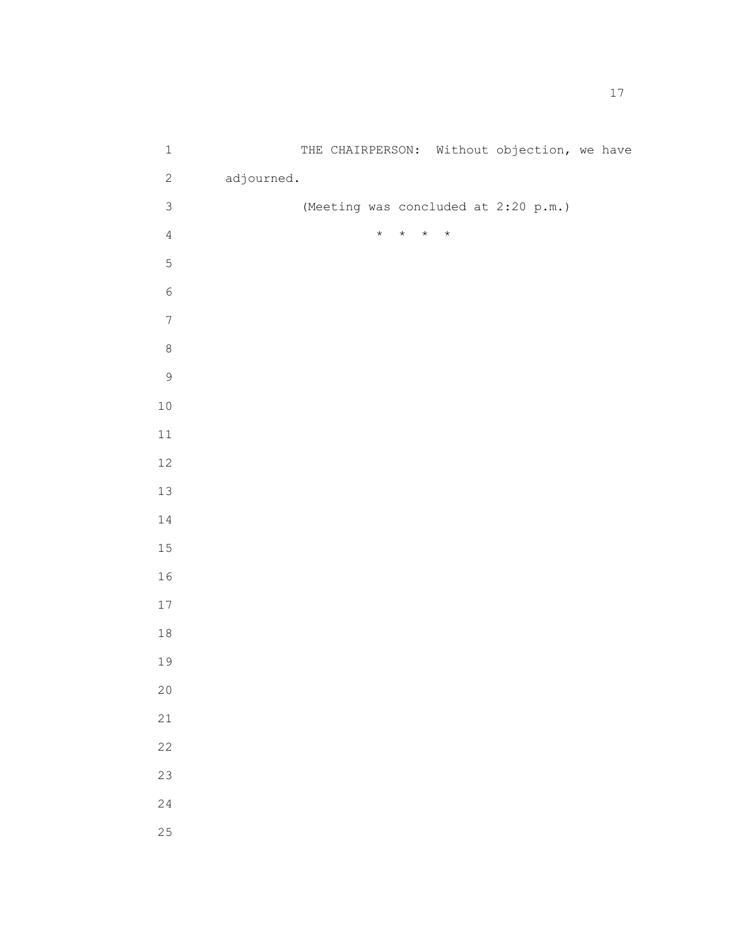| $\ensuremath{\mathbbm{1}}$ |            |  |         |         |         |         |  | THE CHAIRPERSON: Without objection, we have |  |  |
|----------------------------|------------|--|---------|---------|---------|---------|--|---------------------------------------------|--|--|
| $\sqrt{2}$                 | adjourned. |  |         |         |         |         |  |                                             |  |  |
| $\mathsf 3$                |            |  |         |         |         |         |  | (Meeting was concluded at 2:20 p.m.)        |  |  |
| $\sqrt{4}$                 |            |  | $\star$ | $\star$ | $\star$ | $\star$ |  |                                             |  |  |
| $\mathsf S$                |            |  |         |         |         |         |  |                                             |  |  |
| $\epsilon$                 |            |  |         |         |         |         |  |                                             |  |  |
| $\boldsymbol{7}$           |            |  |         |         |         |         |  |                                             |  |  |
| $\,8\,$                    |            |  |         |         |         |         |  |                                             |  |  |
| $\mathfrak g$              |            |  |         |         |         |         |  |                                             |  |  |
| $10$                       |            |  |         |         |         |         |  |                                             |  |  |
| $11\,$                     |            |  |         |         |         |         |  |                                             |  |  |
| $12\,$                     |            |  |         |         |         |         |  |                                             |  |  |
| $13$                       |            |  |         |         |         |         |  |                                             |  |  |
| $14\,$                     |            |  |         |         |         |         |  |                                             |  |  |
| 15                         |            |  |         |         |         |         |  |                                             |  |  |
| 16                         |            |  |         |         |         |         |  |                                             |  |  |
| $17$                       |            |  |         |         |         |         |  |                                             |  |  |
| $1\,8$                     |            |  |         |         |         |         |  |                                             |  |  |
| 19                         |            |  |         |         |         |         |  |                                             |  |  |
| 20                         |            |  |         |         |         |         |  |                                             |  |  |
| 21                         |            |  |         |         |         |         |  |                                             |  |  |
| 22                         |            |  |         |         |         |         |  |                                             |  |  |
| 23                         |            |  |         |         |         |         |  |                                             |  |  |
| 24                         |            |  |         |         |         |         |  |                                             |  |  |
| 25                         |            |  |         |         |         |         |  |                                             |  |  |